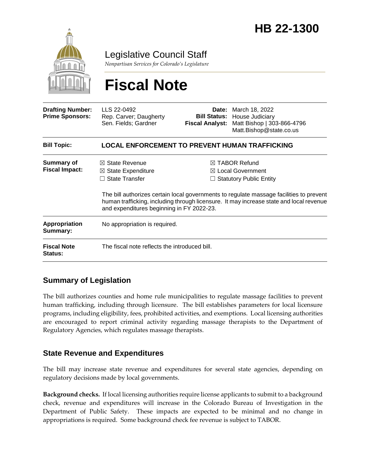

Legislative Council Staff

*Nonpartisan Services for Colorado's Legislature*

# **Fiscal Note**

| <b>Drafting Number:</b><br><b>Prime Sponsors:</b> | LLS 22-0492<br>Rep. Carver; Daugherty<br>Sen. Fields; Gardner                                                                                                                                                                   | <b>Fiscal Analyst:</b>                                                                     | <b>Date:</b> March 18, 2022<br><b>Bill Status: House Judiciary</b><br>Matt Bishop   303-866-4796<br>Matt.Bishop@state.co.us |
|---------------------------------------------------|---------------------------------------------------------------------------------------------------------------------------------------------------------------------------------------------------------------------------------|--------------------------------------------------------------------------------------------|-----------------------------------------------------------------------------------------------------------------------------|
| <b>Bill Topic:</b>                                | <b>LOCAL ENFORCEMENT TO PREVENT HUMAN TRAFFICKING</b>                                                                                                                                                                           |                                                                                            |                                                                                                                             |
| <b>Summary of</b><br><b>Fiscal Impact:</b>        | $\boxtimes$ State Revenue<br>$\boxtimes$ State Expenditure<br>$\Box$ State Transfer                                                                                                                                             | $\boxtimes$ TABOR Refund<br>$\boxtimes$ Local Government<br>$\Box$ Statutory Public Entity |                                                                                                                             |
|                                                   | The bill authorizes certain local governments to regulate massage facilities to prevent<br>human trafficking, including through licensure. It may increase state and local revenue<br>and expenditures beginning in FY 2022-23. |                                                                                            |                                                                                                                             |
| Appropriation<br>Summary:                         | No appropriation is required.                                                                                                                                                                                                   |                                                                                            |                                                                                                                             |
| <b>Fiscal Note</b><br><b>Status:</b>              | The fiscal note reflects the introduced bill.                                                                                                                                                                                   |                                                                                            |                                                                                                                             |

## **Summary of Legislation**

The bill authorizes counties and home rule municipalities to regulate massage facilities to prevent human trafficking, including through licensure. The bill establishes parameters for local licensure programs, including eligibility, fees, prohibited activities, and exemptions. Local licensing authorities are encouraged to report criminal activity regarding massage therapists to the Department of Regulatory Agencies, which regulates massage therapists.

## **State Revenue and Expenditures**

The bill may increase state revenue and expenditures for several state agencies, depending on regulatory decisions made by local governments.

**Background checks.** If local licensing authorities require license applicants to submit to a background check, revenue and expenditures will increase in the Colorado Bureau of Investigation in the Department of Public Safety. These impacts are expected to be minimal and no change in appropriations is required. Some background check fee revenue is subject to TABOR.